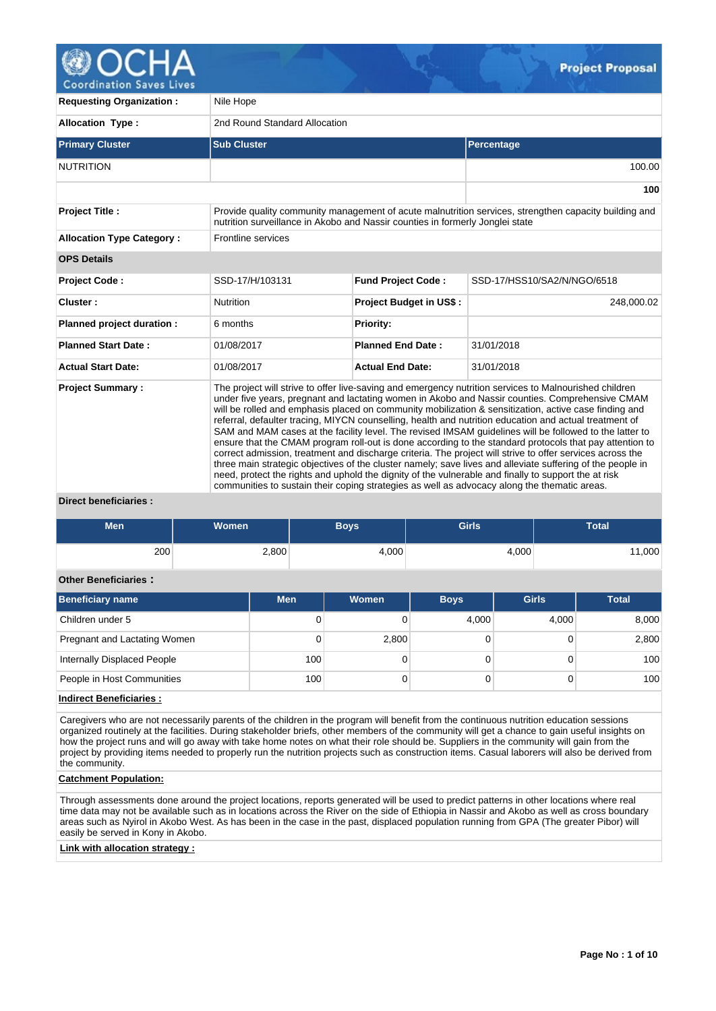

**Coordination Saves Lives** 

| <b>Requesting Organization:</b>  | Nile Hope                                                                                                                                                                                                                                                                                                                                                                                                                                                                                                                                                                                                                                                                                                                                                                                                                                                                                                                                                                                                                                                                             |                                |                                                                                                       |  |  |  |  |
|----------------------------------|---------------------------------------------------------------------------------------------------------------------------------------------------------------------------------------------------------------------------------------------------------------------------------------------------------------------------------------------------------------------------------------------------------------------------------------------------------------------------------------------------------------------------------------------------------------------------------------------------------------------------------------------------------------------------------------------------------------------------------------------------------------------------------------------------------------------------------------------------------------------------------------------------------------------------------------------------------------------------------------------------------------------------------------------------------------------------------------|--------------------------------|-------------------------------------------------------------------------------------------------------|--|--|--|--|
| <b>Allocation Type:</b>          | 2nd Round Standard Allocation                                                                                                                                                                                                                                                                                                                                                                                                                                                                                                                                                                                                                                                                                                                                                                                                                                                                                                                                                                                                                                                         |                                |                                                                                                       |  |  |  |  |
| <b>Primary Cluster</b>           | <b>Sub Cluster</b>                                                                                                                                                                                                                                                                                                                                                                                                                                                                                                                                                                                                                                                                                                                                                                                                                                                                                                                                                                                                                                                                    |                                | Percentage                                                                                            |  |  |  |  |
| <b>NUTRITION</b>                 |                                                                                                                                                                                                                                                                                                                                                                                                                                                                                                                                                                                                                                                                                                                                                                                                                                                                                                                                                                                                                                                                                       |                                | 100.00                                                                                                |  |  |  |  |
|                                  |                                                                                                                                                                                                                                                                                                                                                                                                                                                                                                                                                                                                                                                                                                                                                                                                                                                                                                                                                                                                                                                                                       |                                | 100                                                                                                   |  |  |  |  |
| <b>Project Title:</b>            | nutrition surveillance in Akobo and Nassir counties in formerly Jonglei state                                                                                                                                                                                                                                                                                                                                                                                                                                                                                                                                                                                                                                                                                                                                                                                                                                                                                                                                                                                                         |                                | Provide quality community management of acute malnutrition services, strengthen capacity building and |  |  |  |  |
| <b>Allocation Type Category:</b> | Frontline services                                                                                                                                                                                                                                                                                                                                                                                                                                                                                                                                                                                                                                                                                                                                                                                                                                                                                                                                                                                                                                                                    |                                |                                                                                                       |  |  |  |  |
| <b>OPS Details</b>               |                                                                                                                                                                                                                                                                                                                                                                                                                                                                                                                                                                                                                                                                                                                                                                                                                                                                                                                                                                                                                                                                                       |                                |                                                                                                       |  |  |  |  |
| Project Code:                    | SSD-17/H/103131                                                                                                                                                                                                                                                                                                                                                                                                                                                                                                                                                                                                                                                                                                                                                                                                                                                                                                                                                                                                                                                                       | <b>Fund Project Code:</b>      | SSD-17/HSS10/SA2/N/NGO/6518                                                                           |  |  |  |  |
| Cluster:                         | <b>Nutrition</b>                                                                                                                                                                                                                                                                                                                                                                                                                                                                                                                                                                                                                                                                                                                                                                                                                                                                                                                                                                                                                                                                      | <b>Project Budget in US\$:</b> | 248,000.02                                                                                            |  |  |  |  |
| Planned project duration :       | 6 months                                                                                                                                                                                                                                                                                                                                                                                                                                                                                                                                                                                                                                                                                                                                                                                                                                                                                                                                                                                                                                                                              | Priority:                      |                                                                                                       |  |  |  |  |
| <b>Planned Start Date:</b>       | 01/08/2017                                                                                                                                                                                                                                                                                                                                                                                                                                                                                                                                                                                                                                                                                                                                                                                                                                                                                                                                                                                                                                                                            | <b>Planned End Date:</b>       | 31/01/2018                                                                                            |  |  |  |  |
| <b>Actual Start Date:</b>        | 01/08/2017                                                                                                                                                                                                                                                                                                                                                                                                                                                                                                                                                                                                                                                                                                                                                                                                                                                                                                                                                                                                                                                                            | <b>Actual End Date:</b>        | 31/01/2018                                                                                            |  |  |  |  |
| <b>Project Summary:</b>          | The project will strive to offer live-saving and emergency nutrition services to Malnourished children<br>under five years, pregnant and lactating women in Akobo and Nassir counties. Comprehensive CMAM<br>will be rolled and emphasis placed on community mobilization & sensitization, active case finding and<br>referral, defaulter tracing, MIYCN counselling, health and nutrition education and actual treatment of<br>SAM and MAM cases at the facility level. The revised IMSAM quidelines will be followed to the latter to<br>ensure that the CMAM program roll-out is done according to the standard protocols that pay attention to<br>correct admission, treatment and discharge criteria. The project will strive to offer services across the<br>three main strategic objectives of the cluster namely; save lives and alleviate suffering of the people in<br>need, protect the rights and uphold the dignity of the vulnerable and finally to support the at risk<br>communities to sustain their coping strategies as well as advocacy along the thematic areas. |                                |                                                                                                       |  |  |  |  |

### **Direct beneficiaries :**

| <b>Men</b> | <b>Women</b> | Boys'  | <b>Girls</b> | <b>Total</b> |
|------------|--------------|--------|--------------|--------------|
| 200        | 2,800        | $+000$ | 4,000        | 1,000        |

### **Other Beneficiaries :**

| Beneficiary name             | <b>Men</b> | Women | <b>Boys</b> | <b>Girls</b> | <b>Total</b> |
|------------------------------|------------|-------|-------------|--------------|--------------|
| Children under 5             | O          |       | 4,000       | 4,000        | 8,000        |
| Pregnant and Lactating Women | 0          | 2,800 |             |              | 2,800        |
| Internally Displaced People  | 100        |       |             |              | 100          |
| People in Host Communities   | 100        |       |             |              | 100          |

## **Indirect Beneficiaries :**

Caregivers who are not necessarily parents of the children in the program will benefit from the continuous nutrition education sessions organized routinely at the facilities. During stakeholder briefs, other members of the community will get a chance to gain useful insights on how the project runs and will go away with take home notes on what their role should be. Suppliers in the community will gain from the project by providing items needed to properly run the nutrition projects such as construction items. Casual laborers will also be derived from the community.

## **Catchment Population:**

Through assessments done around the project locations, reports generated will be used to predict patterns in other locations where real time data may not be available such as in locations across the River on the side of Ethiopia in Nassir and Akobo as well as cross boundary areas such as Nyirol in Akobo West. As has been in the case in the past, displaced population running from GPA (The greater Pibor) will easily be served in Kony in Akobo.

## **Link with allocation strategy :**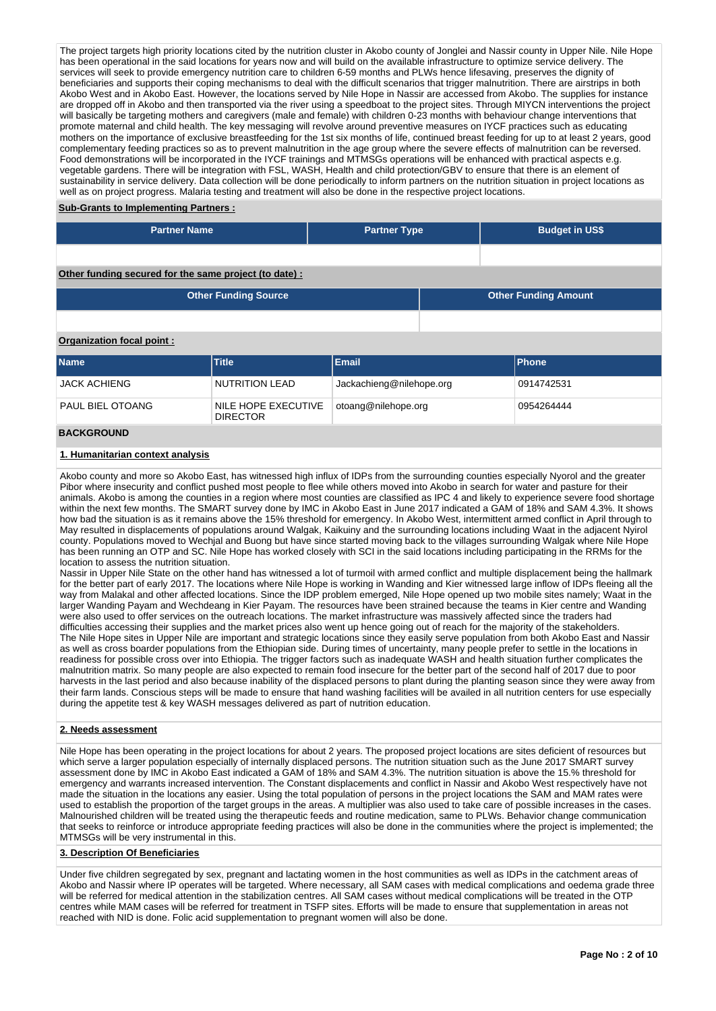The project targets high priority locations cited by the nutrition cluster in Akobo county of Jonglei and Nassir county in Upper Nile. Nile Hope has been operational in the said locations for years now and will build on the available infrastructure to optimize service delivery. The services will seek to provide emergency nutrition care to children 6-59 months and PLWs hence lifesaving, preserves the dignity of beneficiaries and supports their coping mechanisms to deal with the difficult scenarios that trigger malnutrition. There are airstrips in both Akobo West and in Akobo East. However, the locations served by Nile Hope in Nassir are accessed from Akobo. The supplies for instance are dropped off in Akobo and then transported via the river using a speedboat to the project sites. Through MIYCN interventions the project will basically be targeting mothers and caregivers (male and female) with children 0-23 months with behaviour change interventions that promote maternal and child health. The key messaging will revolve around preventive measures on IYCF practices such as educating mothers on the importance of exclusive breastfeeding for the 1st six months of life, continued breast feeding for up to at least 2 years, good complementary feeding practices so as to prevent malnutrition in the age group where the severe effects of malnutrition can be reversed. Food demonstrations will be incorporated in the IYCF trainings and MTMSGs operations will be enhanced with practical aspects e.g. vegetable gardens. There will be integration with FSL, WASH, Health and child protection/GBV to ensure that there is an element of sustainability in service delivery. Data collection will be done periodically to inform partners on the nutrition situation in project locations as well as on project progress. Malaria testing and treatment will also be done in the respective project locations.

### **Sub-Grants to Implementing Partners :**

| <b>Partner Name</b> | <b>Partner Type</b> | <b>Budget in US\$</b> |
|---------------------|---------------------|-----------------------|
|                     |                     |                       |

## **Other funding secured for the same project (to date) :**

| <b>Other Funding Source</b> | <b>Other Funding Amount</b> |
|-----------------------------|-----------------------------|
|                             |                             |

### **Organization focal point :**

| <b>Name</b>         | <b>Title</b>                           | <b>Email</b>             | <b>IPhone</b> |
|---------------------|----------------------------------------|--------------------------|---------------|
| <b>JACK ACHIENG</b> | NUTRITION LEAD                         | Jackachieng@nilehope.org | 0914742531    |
| PAUL BIEL OTOANG    | NILE HOPE EXECUTIVE<br><b>DIRECTOR</b> | otoang@nilehope.org      | 0954264444    |
| <b>BACKGROUND</b>   |                                        |                          |               |

### **1. Humanitarian context analysis**

Akobo county and more so Akobo East, has witnessed high influx of IDPs from the surrounding counties especially Nyorol and the greater Pibor where insecurity and conflict pushed most people to flee while others moved into Akobo in search for water and pasture for their animals. Akobo is among the counties in a region where most counties are classified as IPC 4 and likely to experience severe food shortage within the next few months. The SMART survey done by IMC in Akobo East in June 2017 indicated a GAM of 18% and SAM 4.3%. It shows how bad the situation is as it remains above the 15% threshold for emergency. In Akobo West, intermittent armed conflict in April through to May resulted in displacements of populations around Walgak, Kaikuiny and the surrounding locations including Waat in the adjacent Nyirol county. Populations moved to Wechjal and Buong but have since started moving back to the villages surrounding Walgak where Nile Hope has been running an OTP and SC. Nile Hope has worked closely with SCI in the said locations including participating in the RRMs for the location to assess the nutrition situation.

Nassir in Upper Nile State on the other hand has witnessed a lot of turmoil with armed conflict and multiple displacement being the hallmark for the better part of early 2017. The locations where Nile Hope is working in Wanding and Kier witnessed large inflow of IDPs fleeing all the way from Malakal and other affected locations. Since the IDP problem emerged, Nile Hope opened up two mobile sites namely; Waat in the larger Wanding Payam and Wechdeang in Kier Payam. The resources have been strained because the teams in Kier centre and Wanding were also used to offer services on the outreach locations. The market infrastructure was massively affected since the traders had difficulties accessing their supplies and the market prices also went up hence going out of reach for the majority of the stakeholders. The Nile Hope sites in Upper Nile are important and strategic locations since they easily serve population from both Akobo East and Nassir as well as cross boarder populations from the Ethiopian side. During times of uncertainty, many people prefer to settle in the locations in readiness for possible cross over into Ethiopia. The trigger factors such as inadequate WASH and health situation further complicates the malnutrition matrix. So many people are also expected to remain food insecure for the better part of the second half of 2017 due to poor harvests in the last period and also because inability of the displaced persons to plant during the planting season since they were away from their farm lands. Conscious steps will be made to ensure that hand washing facilities will be availed in all nutrition centers for use especially during the appetite test & key WASH messages delivered as part of nutrition education.

## **2. Needs assessment**

Nile Hope has been operating in the project locations for about 2 years. The proposed project locations are sites deficient of resources but which serve a larger population especially of internally displaced persons. The nutrition situation such as the June 2017 SMART survey assessment done by IMC in Akobo East indicated a GAM of 18% and SAM 4.3%. The nutrition situation is above the 15.% threshold for emergency and warrants increased intervention. The Constant displacements and conflict in Nassir and Akobo West respectively have not made the situation in the locations any easier. Using the total population of persons in the project locations the SAM and MAM rates were used to establish the proportion of the target groups in the areas. A multiplier was also used to take care of possible increases in the cases. Malnourished children will be treated using the therapeutic feeds and routine medication, same to PLWs. Behavior change communication that seeks to reinforce or introduce appropriate feeding practices will also be done in the communities where the project is implemented; the MTMSGs will be very instrumental in this.

### **3. Description Of Beneficiaries**

Under five children segregated by sex, pregnant and lactating women in the host communities as well as IDPs in the catchment areas of Akobo and Nassir where IP operates will be targeted. Where necessary, all SAM cases with medical complications and oedema grade three will be referred for medical attention in the stabilization centres. All SAM cases without medical complications will be treated in the OTP centres while MAM cases will be referred for treatment in TSFP sites. Efforts will be made to ensure that supplementation in areas not reached with NID is done. Folic acid supplementation to pregnant women will also be done.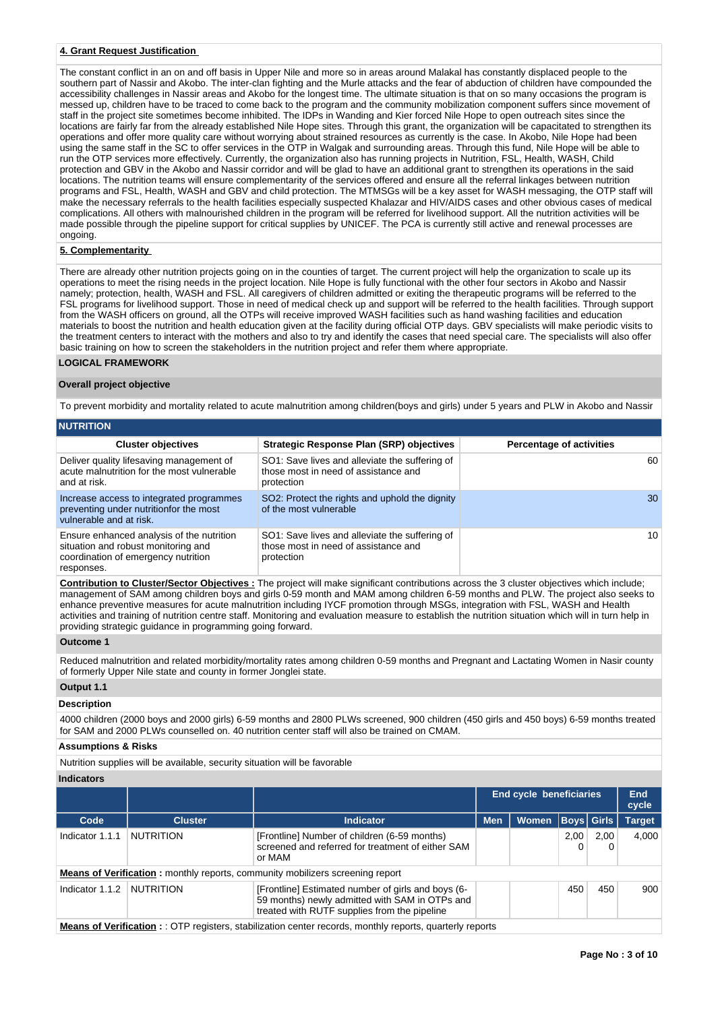## **4. Grant Request Justification**

The constant conflict in an on and off basis in Upper Nile and more so in areas around Malakal has constantly displaced people to the southern part of Nassir and Akobo. The inter-clan fighting and the Murle attacks and the fear of abduction of children have compounded the accessibility challenges in Nassir areas and Akobo for the longest time. The ultimate situation is that on so many occasions the program is messed up, children have to be traced to come back to the program and the community mobilization component suffers since movement of staff in the project site sometimes become inhibited. The IDPs in Wanding and Kier forced Nile Hope to open outreach sites since the locations are fairly far from the already established Nile Hope sites. Through this grant, the organization will be capacitated to strengthen its operations and offer more quality care without worrying about strained resources as currently is the case. In Akobo, Nile Hope had been using the same staff in the SC to offer services in the OTP in Walgak and surrounding areas. Through this fund, Nile Hope will be able to run the OTP services more effectively. Currently, the organization also has running projects in Nutrition, FSL, Health, WASH, Child protection and GBV in the Akobo and Nassir corridor and will be glad to have an additional grant to strengthen its operations in the said locations. The nutrition teams will ensure complementarity of the services offered and ensure all the referral linkages between nutrition programs and FSL, Health, WASH and GBV and child protection. The MTMSGs will be a key asset for WASH messaging, the OTP staff will make the necessary referrals to the health facilities especially suspected Khalazar and HIV/AIDS cases and other obvious cases of medical complications. All others with malnourished children in the program will be referred for livelihood support. All the nutrition activities will be made possible through the pipeline support for critical supplies by UNICEF. The PCA is currently still active and renewal processes are ongoing.

## **5. Complementarity**

There are already other nutrition projects going on in the counties of target. The current project will help the organization to scale up its operations to meet the rising needs in the project location. Nile Hope is fully functional with the other four sectors in Akobo and Nassir namely; protection, health, WASH and FSL. All caregivers of children admitted or exiting the therapeutic programs will be referred to the FSL programs for livelihood support. Those in need of medical check up and support will be referred to the health facilities. Through support from the WASH officers on ground, all the OTPs will receive improved WASH facilities such as hand washing facilities and education materials to boost the nutrition and health education given at the facility during official OTP days. GBV specialists will make periodic visits to the treatment centers to interact with the mothers and also to try and identify the cases that need special care. The specialists will also offer basic training on how to screen the stakeholders in the nutrition project and refer them where appropriate.

## **LOGICAL FRAMEWORK**

### **Overall project objective**

To prevent morbidity and mortality related to acute malnutrition among children(boys and girls) under 5 years and PLW in Akobo and Nassir

| <b>NUTRITION</b>                                                                                                                      |                                                                                                      |                                 |
|---------------------------------------------------------------------------------------------------------------------------------------|------------------------------------------------------------------------------------------------------|---------------------------------|
| <b>Cluster objectives</b>                                                                                                             | <b>Strategic Response Plan (SRP) objectives</b>                                                      | <b>Percentage of activities</b> |
| Deliver quality lifesaving management of<br>acute malnutrition for the most vulnerable<br>and at risk.                                | SO1: Save lives and alleviate the suffering of<br>those most in need of assistance and<br>protection | 60                              |
| Increase access to integrated programmes<br>preventing under nutritionfor the most<br>vulnerable and at risk.                         | SO2: Protect the rights and uphold the dignity<br>of the most vulnerable                             | 30                              |
| Ensure enhanced analysis of the nutrition<br>situation and robust monitoring and<br>coordination of emergency nutrition<br>responses. | SO1: Save lives and alleviate the suffering of<br>those most in need of assistance and<br>protection | 10                              |

**Contribution to Cluster/Sector Objectives :** The project will make significant contributions across the 3 cluster objectives which include; management of SAM among children boys and girls 0-59 month and MAM among children 6-59 months and PLW. The project also seeks to enhance preventive measures for acute malnutrition including IYCF promotion through MSGs, integration with FSL, WASH and Health activities and training of nutrition centre staff. Monitoring and evaluation measure to establish the nutrition situation which will in turn help in providing strategic guidance in programming going forward.

### **Outcome 1**

Reduced malnutrition and related morbidity/mortality rates among children 0-59 months and Pregnant and Lactating Women in Nasir county of formerly Upper Nile state and county in former Jonglei state.

## **Output 1.1**

## **Description**

4000 children (2000 boys and 2000 girls) 6-59 months and 2800 PLWs screened, 900 children (450 girls and 450 boys) 6-59 months treated for SAM and 2000 PLWs counselled on. 40 nutrition center staff will also be trained on CMAM.

## **Assumptions & Risks**

Nutrition supplies will be available, security situation will be favorable

### **Indicators**

|                 |                  |                                                                                                                                                      | End cycle beneficiaries |              |      | <b>End</b><br>cycle |               |
|-----------------|------------------|------------------------------------------------------------------------------------------------------------------------------------------------------|-------------------------|--------------|------|---------------------|---------------|
| Code            | <b>Cluster</b>   | <b>Indicator</b>                                                                                                                                     | <b>Men</b>              | <b>Women</b> |      | <b>Boys</b> Girls   | <b>Target</b> |
| Indicator 1.1.1 | NUTRITION        | [Frontline] Number of children (6-59 months)<br>screened and referred for treatment of either SAM<br>or MAM                                          |                         |              | 2,00 | 2.00<br>0           | 4.000         |
|                 |                  | <b>Means of Verification:</b> monthly reports, community mobilizers screening report                                                                 |                         |              |      |                     |               |
| Indicator 1.1.2 | <b>NUTRITION</b> | [Frontline] Estimated number of girls and boys (6-<br>59 months) newly admitted with SAM in OTPs and<br>treated with RUTF supplies from the pipeline |                         |              | 450  | 450                 | 900           |
|                 |                  | Moans of Varification $\cdot$ OTD registers, stabilization conter recepted monthly reports, quarterly reports                                        |                         |              |      |                     |               |

**Means of Verification :**  $:$  OTP registers, stabilization center records, monthly reports, quarterly reports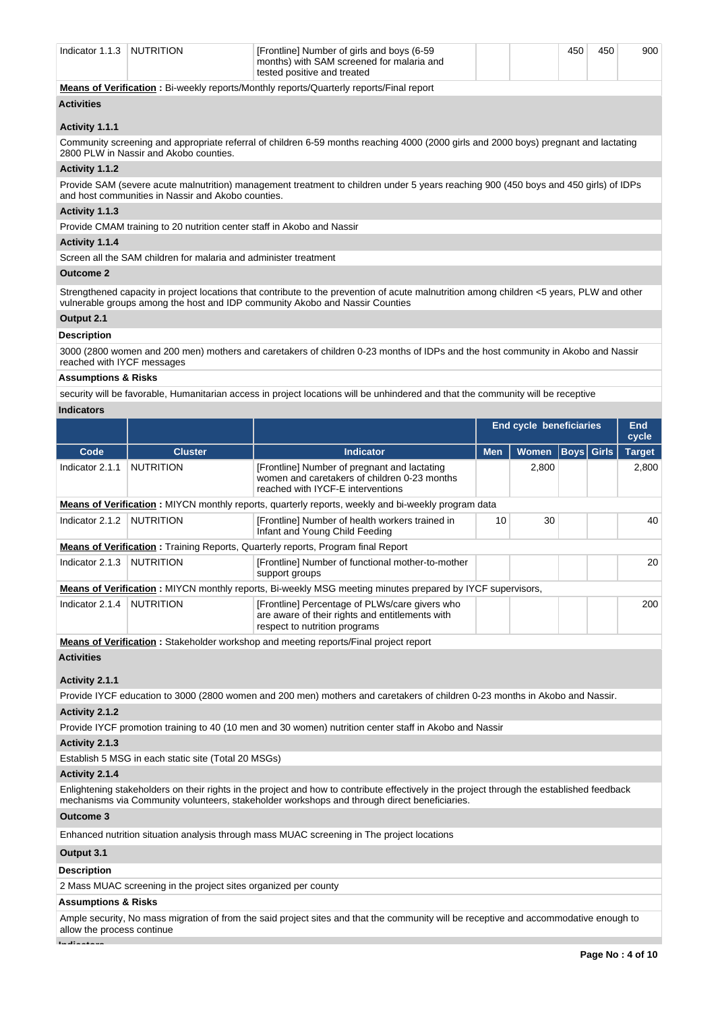| Indicator 1.1.3                                                                                                                                                                            | <b>NUTRITION</b>                                                                                                                                                               | [Frontline] Number of girls and boys (6-59<br>months) with SAM screened for malaria and<br>tested positive and treated |  |  | 450 | 450 | 900 |  |
|--------------------------------------------------------------------------------------------------------------------------------------------------------------------------------------------|--------------------------------------------------------------------------------------------------------------------------------------------------------------------------------|------------------------------------------------------------------------------------------------------------------------|--|--|-----|-----|-----|--|
|                                                                                                                                                                                            |                                                                                                                                                                                | Means of Verification: Bi-weekly reports/Monthly reports/Quarterly reports/Final report                                |  |  |     |     |     |  |
| <b>Activities</b>                                                                                                                                                                          |                                                                                                                                                                                |                                                                                                                        |  |  |     |     |     |  |
|                                                                                                                                                                                            |                                                                                                                                                                                |                                                                                                                        |  |  |     |     |     |  |
| Activity 1.1.1                                                                                                                                                                             |                                                                                                                                                                                |                                                                                                                        |  |  |     |     |     |  |
|                                                                                                                                                                                            | Community screening and appropriate referral of children 6-59 months reaching 4000 (2000 girls and 2000 boys) pregnant and lactating<br>2800 PLW in Nassir and Akobo counties. |                                                                                                                        |  |  |     |     |     |  |
| Activity 1.1.2                                                                                                                                                                             |                                                                                                                                                                                |                                                                                                                        |  |  |     |     |     |  |
| Provide SAM (severe acute malnutrition) management treatment to children under 5 years reaching 900 (450 boys and 450 girls) of IDPs<br>and host communities in Nassir and Akobo counties. |                                                                                                                                                                                |                                                                                                                        |  |  |     |     |     |  |
| Activity 1.1.3                                                                                                                                                                             |                                                                                                                                                                                |                                                                                                                        |  |  |     |     |     |  |
| Provide CMAM training to 20 nutrition center staff in Akobo and Nassir                                                                                                                     |                                                                                                                                                                                |                                                                                                                        |  |  |     |     |     |  |
| Activity 1.1.4                                                                                                                                                                             |                                                                                                                                                                                |                                                                                                                        |  |  |     |     |     |  |
| Screen all the SAM children for malaria and administer treatment                                                                                                                           |                                                                                                                                                                                |                                                                                                                        |  |  |     |     |     |  |

## **Outcome 2**

Strengthened capacity in project locations that contribute to the prevention of acute malnutrition among children <5 years, PLW and other vulnerable groups among the host and IDP community Akobo and Nassir Counties

## **Output 2.1**

## **Description**

3000 (2800 women and 200 men) mothers and caretakers of children 0-23 months of IDPs and the host community in Akobo and Nassir reached with IYCF messages

## **Assumptions & Risks**

security will be favorable, Humanitarian access in project locations will be unhindered and that the community will be receptive

## **Indicators**

|                                                                                                    |                  |                                                                                                                                    | End cycle beneficiaries                         |       |  | End<br>cycle |               |  |
|----------------------------------------------------------------------------------------------------|------------------|------------------------------------------------------------------------------------------------------------------------------------|-------------------------------------------------|-------|--|--------------|---------------|--|
| Code                                                                                               | <b>Cluster</b>   | <b>Indicator</b>                                                                                                                   | <b>Boys Girls</b><br><b>Men</b><br><b>Women</b> |       |  |              | <b>Target</b> |  |
| Indicator 2.1.1                                                                                    | <b>NUTRITION</b> | [Frontline] Number of pregnant and lactating<br>women and caretakers of children 0-23 months<br>reached with IYCF-E interventions  |                                                 | 2,800 |  |              | 2,800         |  |
| Means of Verification: MIYCN monthly reports, quarterly reports, weekly and bi-weekly program data |                  |                                                                                                                                    |                                                 |       |  |              |               |  |
| Indicator 2.1.2                                                                                    | <b>NUTRITION</b> | [Frontline] Number of health workers trained in<br>Infant and Young Child Feeding                                                  | 10                                              | 30    |  |              | 40            |  |
|                                                                                                    |                  | <b>Means of Verification:</b> Training Reports, Quarterly reports, Program final Report                                            |                                                 |       |  |              |               |  |
| Indicator 2.1.3                                                                                    | <b>NUTRITION</b> | [Frontline] Number of functional mother-to-mother<br>support groups                                                                |                                                 |       |  | 20           |               |  |
|                                                                                                    |                  | <b>Means of Verification</b> : MIYCN monthly reports, Bi-weekly MSG meeting minutes prepared by IYCF supervisors,                  |                                                 |       |  |              |               |  |
| Indicator 2.1.4                                                                                    | <b>NUTRITION</b> | [Frontline] Percentage of PLWs/care givers who<br>are aware of their rights and entitlements with<br>respect to nutrition programs |                                                 |       |  |              | 200           |  |
| Moone of Verification : Ctolcabolder werkeben and meeting reports (Final project report            |                  |                                                                                                                                    |                                                 |       |  |              |               |  |

**Means of Verification :** Stakeholder workshop and meeting reports/Final project report

# **Activities**

## **Activity 2.1.1**

Provide IYCF education to 3000 (2800 women and 200 men) mothers and caretakers of children 0-23 months in Akobo and Nassir. **Activity 2.1.2** 

Provide IYCF promotion training to 40 (10 men and 30 women) nutrition center staff in Akobo and Nassir

## **Activity 2.1.3**

Establish 5 MSG in each static site (Total 20 MSGs)

### **Activity 2.1.4**

Enlightening stakeholders on their rights in the project and how to contribute effectively in the project through the established feedback mechanisms via Community volunteers, stakeholder workshops and through direct beneficiaries.

### **Outcome 3**

Enhanced nutrition situation analysis through mass MUAC screening in The project locations

## **Output 3.1**

## **Description**

2 Mass MUAC screening in the project sites organized per county

## **Assumptions & Risks**

Ample security, No mass migration of from the said project sites and that the community will be receptive and accommodative enough to allow the process continue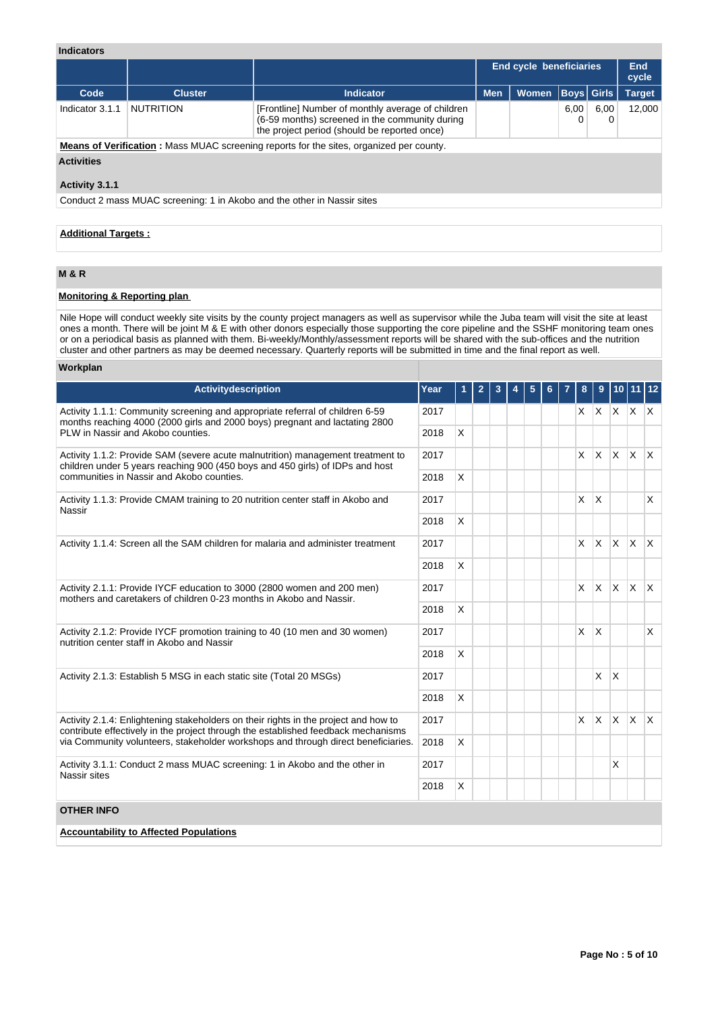## **Indicators**

|                                                                                                |                  |                                                                                                                                                     | <b>End cycle beneficiaries</b> |       |             | End<br>cycle |               |  |
|------------------------------------------------------------------------------------------------|------------------|-----------------------------------------------------------------------------------------------------------------------------------------------------|--------------------------------|-------|-------------|--------------|---------------|--|
| Code                                                                                           | <b>Cluster</b>   | <b>Indicator</b>                                                                                                                                    | <b>Men</b>                     | Women | Boys  Girls |              | <b>Target</b> |  |
| Indicator 3.1.1                                                                                | <b>NUTRITION</b> | [Frontline] Number of monthly average of children<br>(6-59 months) screened in the community during<br>the project period (should be reported once) |                                |       | 6.00        | 6.00<br>0    | 12.000        |  |
| <b>Means of Verification:</b> Mass MUAC screening reports for the sites, organized per county. |                  |                                                                                                                                                     |                                |       |             |              |               |  |
| <b>Activities</b>                                                                              |                  |                                                                                                                                                     |                                |       |             |              |               |  |

## **Activity 3.1.1**

Conduct 2 mass MUAC screening: 1 in Akobo and the other in Nassir sites

## **Additional Targets :**

## **M & R**

## **Monitoring & Reporting plan**

Nile Hope will conduct weekly site visits by the county project managers as well as supervisor while the Juba team will visit the site at least ones a month. There will be joint M & E with other donors especially those supporting the core pipeline and the SSHF monitoring team ones or on a periodical basis as planned with them. Bi-weekly/Monthly/assessment reports will be shared with the sub-offices and the nutrition cluster and other partners as may be deemed necessary. Quarterly reports will be submitted in time and the final report as well.

## **Workplan Activitydescription Year 1 2 3 4 5 6 7 8 9 10 11 12** Activity 1.1.1: Community screening and appropriate referral of children 6-59 months reaching 4000 (2000 girls and 2000 boys) pregnant and lactating 2800 PLW in Nassir and Akobo counties. 2017 X X X X X  $2018$  X Activity 1.1.2: Provide SAM (severe acute malnutrition) management treatment to children under 5 years reaching 900 (450 boys and 450 girls) of IDPs and host communities in Nassir and Akobo counties. 2017 X X X X X 2018 X Activity 1.1.3: Provide CMAM training to 20 nutrition center staff in Akobo and Nassir 2017 X X X 2018 X Activity 1.1.4: Screen all the SAM children for malaria and administer treatment 2017 X X X X X X X X X X X X 2018 X Activity 2.1.1: Provide IYCF education to 3000 (2800 women and 200 men) mothers and caretakers of children 0-23 months in Akobo and Nassir. 2017 X X X X X  $2018$  X Activity 2.1.2: Provide IYCF promotion training to 40 (10 men and 30 women) nutrition center staff in Akobo and Nassir 2017 X X X  $2018$  X Activity 2.1.3: Establish 5 MSG in each static site (Total 20 MSGs) 2017 2017 X X X  $2018$  X Activity 2.1.4: Enlightening stakeholders on their rights in the project and how to contribute effectively in the project through the established feedback mechanisms via Community volunteers, stakeholder workshops and through direct beneficiaries. 2017 X X X X X 2018 X Activity 3.1.1: Conduct 2 mass MUAC screening: 1 in Akobo and the other in Nassir sites 2017 | | | | | | | | | | X  $2018$  X **OTHER INFO Accountability to Affected Populations**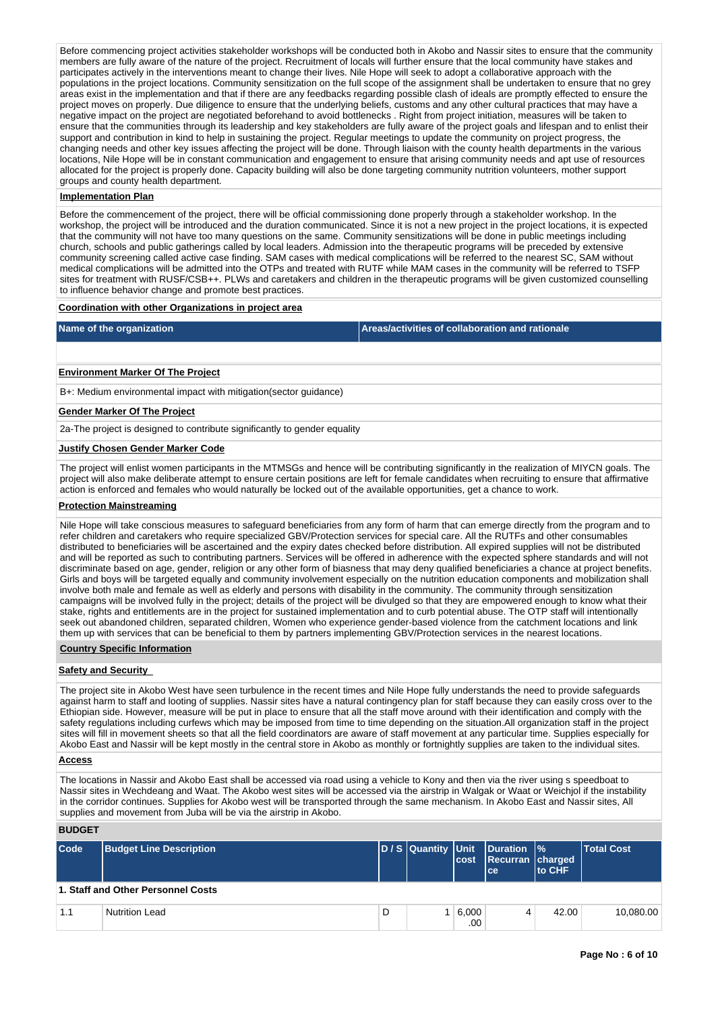Before commencing project activities stakeholder workshops will be conducted both in Akobo and Nassir sites to ensure that the community members are fully aware of the nature of the project. Recruitment of locals will further ensure that the local community have stakes and participates actively in the interventions meant to change their lives. Nile Hope will seek to adopt a collaborative approach with the populations in the project locations. Community sensitization on the full scope of the assignment shall be undertaken to ensure that no grey areas exist in the implementation and that if there are any feedbacks regarding possible clash of ideals are promptly effected to ensure the project moves on properly. Due diligence to ensure that the underlying beliefs, customs and any other cultural practices that may have a negative impact on the project are negotiated beforehand to avoid bottlenecks . Right from project initiation, measures will be taken to ensure that the communities through its leadership and key stakeholders are fully aware of the project goals and lifespan and to enlist their support and contribution in kind to help in sustaining the project. Regular meetings to update the community on project progress, the changing needs and other key issues affecting the project will be done. Through liaison with the county health departments in the various locations, Nile Hope will be in constant communication and engagement to ensure that arising community needs and apt use of resources allocated for the project is properly done. Capacity building will also be done targeting community nutrition volunteers, mother support groups and county health department.

### **Implementation Plan**

Before the commencement of the project, there will be official commissioning done properly through a stakeholder workshop. In the workshop, the project will be introduced and the duration communicated. Since it is not a new project in the project locations, it is expected that the community will not have too many questions on the same. Community sensitizations will be done in public meetings including church, schools and public gatherings called by local leaders. Admission into the therapeutic programs will be preceded by extensive community screening called active case finding. SAM cases with medical complications will be referred to the nearest SC, SAM without medical complications will be admitted into the OTPs and treated with RUTF while MAM cases in the community will be referred to TSFP sites for treatment with RUSF/CSB++. PLWs and caretakers and children in the therapeutic programs will be given customized counselling to influence behavior change and promote best practices.

### **Coordination with other Organizations in project area**

**Name of the organization Areas/activities of collaboration and rationale** 

### **Environment Marker Of The Project**

B+: Medium environmental impact with mitigation(sector guidance)

### **Gender Marker Of The Project**

2a-The project is designed to contribute significantly to gender equality

### **Justify Chosen Gender Marker Code**

The project will enlist women participants in the MTMSGs and hence will be contributing significantly in the realization of MIYCN goals. The project will also make deliberate attempt to ensure certain positions are left for female candidates when recruiting to ensure that affirmative action is enforced and females who would naturally be locked out of the available opportunities, get a chance to work.

## **Protection Mainstreaming**

Nile Hope will take conscious measures to safeguard beneficiaries from any form of harm that can emerge directly from the program and to refer children and caretakers who require specialized GBV/Protection services for special care. All the RUTFs and other consumables distributed to beneficiaries will be ascertained and the expiry dates checked before distribution. All expired supplies will not be distributed and will be reported as such to contributing partners. Services will be offered in adherence with the expected sphere standards and will not discriminate based on age, gender, religion or any other form of biasness that may deny qualified beneficiaries a chance at project benefits. Girls and boys will be targeted equally and community involvement especially on the nutrition education components and mobilization shall involve both male and female as well as elderly and persons with disability in the community. The community through sensitization campaigns will be involved fully in the project; details of the project will be divulged so that they are empowered enough to know what their stake, rights and entitlements are in the project for sustained implementation and to curb potential abuse. The OTP staff will intentionally seek out abandoned children, separated children, Women who experience gender-based violence from the catchment locations and link them up with services that can be beneficial to them by partners implementing GBV/Protection services in the nearest locations.

### **Country Specific Information**

## **Safety and Security**

The project site in Akobo West have seen turbulence in the recent times and Nile Hope fully understands the need to provide safeguards against harm to staff and looting of supplies. Nassir sites have a natural contingency plan for staff because they can easily cross over to the Ethiopian side. However, measure will be put in place to ensure that all the staff move around with their identification and comply with the safety regulations including curfews which may be imposed from time to time depending on the situation.All organization staff in the project sites will fill in movement sheets so that all the field coordinators are aware of staff movement at any particular time. Supplies especially for Akobo East and Nassir will be kept mostly in the central store in Akobo as monthly or fortnightly supplies are taken to the individual sites.

## **Access**

The locations in Nassir and Akobo East shall be accessed via road using a vehicle to Kony and then via the river using s speedboat to Nassir sites in Wechdeang and Waat. The Akobo west sites will be accessed via the airstrip in Walgak or Waat or Weichjol if the instability in the corridor continues. Supplies for Akobo west will be transported through the same mechanism. In Akobo East and Nassir sites, All supplies and movement from Juba will be via the airstrip in Akobo.

## **BUDGET**

| Code | <b>Budget Line Description</b>     |   | D / S Quantity Unit | cost         | Duration  %<br>Recurran charged<br>lce. | to CHF | <b>Total Cost</b> |  |
|------|------------------------------------|---|---------------------|--------------|-----------------------------------------|--------|-------------------|--|
|      | 1. Staff and Other Personnel Costs |   |                     |              |                                         |        |                   |  |
| 1.1  | <b>Nutrition Lead</b>              | D |                     | 6,000<br>.00 | 4                                       | 42.00  | 10.080.00         |  |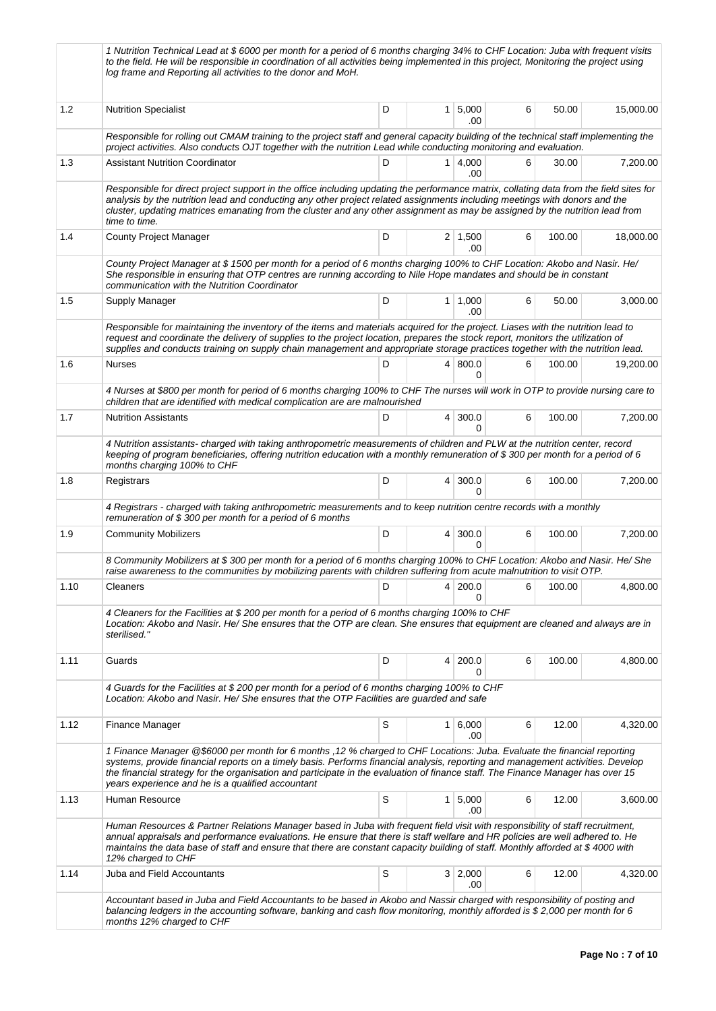|      | 1 Nutrition Technical Lead at \$6000 per month for a period of 6 months charging 34% to CHF Location: Juba with frequent visits<br>to the field. He will be responsible in coordination of all activities being implemented in this project, Monitoring the project using<br>log frame and Reporting all activities to the donor and MoH.                                                                                                          |   |   |                       |   |        |           |  |  |
|------|----------------------------------------------------------------------------------------------------------------------------------------------------------------------------------------------------------------------------------------------------------------------------------------------------------------------------------------------------------------------------------------------------------------------------------------------------|---|---|-----------------------|---|--------|-----------|--|--|
| 1.2  | <b>Nutrition Specialist</b>                                                                                                                                                                                                                                                                                                                                                                                                                        | D |   | 1   5,000<br>.00      | 6 | 50.00  | 15,000.00 |  |  |
|      | Responsible for rolling out CMAM training to the project staff and general capacity building of the technical staff implementing the<br>project activities. Also conducts OJT together with the nutrition Lead while conducting monitoring and evaluation.                                                                                                                                                                                         |   |   |                       |   |        |           |  |  |
| 1.3  | <b>Assistant Nutrition Coordinator</b>                                                                                                                                                                                                                                                                                                                                                                                                             | D |   | 1   4,000<br>.00      | 6 | 30.00  | 7,200.00  |  |  |
|      | Responsible for direct project support in the office including updating the performance matrix, collating data from the field sites for<br>analysis by the nutrition lead and conducting any other project related assignments including meetings with donors and the<br>cluster, updating matrices emanating from the cluster and any other assignment as may be assigned by the nutrition lead from<br>time to time.                             |   |   |                       |   |        |           |  |  |
| 1.4  | <b>County Project Manager</b>                                                                                                                                                                                                                                                                                                                                                                                                                      | D |   | $2 \mid 1,500$<br>.00 | 6 | 100.00 | 18,000.00 |  |  |
|      | County Project Manager at \$1500 per month for a period of 6 months charging 100% to CHF Location: Akobo and Nasir. He/<br>She responsible in ensuring that OTP centres are running according to Nile Hope mandates and should be in constant<br>communication with the Nutrition Coordinator                                                                                                                                                      |   |   |                       |   |        |           |  |  |
| 1.5  | Supply Manager                                                                                                                                                                                                                                                                                                                                                                                                                                     | D |   | 1   1,000<br>.00      | 6 | 50.00  | 3,000.00  |  |  |
|      | Responsible for maintaining the inventory of the items and materials acquired for the project. Liases with the nutrition lead to<br>request and coordinate the delivery of supplies to the project location, prepares the stock report, monitors the utilization of<br>supplies and conducts training on supply chain management and appropriate storage practices together with the nutrition lead.                                               |   |   |                       |   |        |           |  |  |
| 1.6  | <b>Nurses</b>                                                                                                                                                                                                                                                                                                                                                                                                                                      | D |   | 4   800.0<br>0        | 6 | 100.00 | 19,200.00 |  |  |
|      | 4 Nurses at \$800 per month for period of 6 months charging 100% to CHF The nurses will work in OTP to provide nursing care to<br>children that are identified with medical complication are are malnourished                                                                                                                                                                                                                                      |   |   |                       |   |        |           |  |  |
| 1.7  | <b>Nutrition Assistants</b>                                                                                                                                                                                                                                                                                                                                                                                                                        | D |   | $4 \mid 300.0$<br>0   | 6 | 100.00 | 7,200.00  |  |  |
|      | 4 Nutrition assistants- charged with taking anthropometric measurements of children and PLW at the nutrition center, record<br>keeping of program beneficiaries, offering nutrition education with a monthly remuneration of \$300 per month for a period of 6<br>months charging 100% to CHF                                                                                                                                                      |   |   |                       |   |        |           |  |  |
| 1.8  | Registrars                                                                                                                                                                                                                                                                                                                                                                                                                                         | D |   | 4 300.0<br>0          | 6 | 100.00 | 7,200.00  |  |  |
|      | 4 Registrars - charged with taking anthropometric measurements and to keep nutrition centre records with a monthly<br>remuneration of \$300 per month for a period of 6 months                                                                                                                                                                                                                                                                     |   |   |                       |   |        |           |  |  |
| 1.9  | <b>Community Mobilizers</b>                                                                                                                                                                                                                                                                                                                                                                                                                        | D |   | $4 \mid 300.0$<br>0   | 6 | 100.00 | 7,200.00  |  |  |
|      | 8 Community Mobilizers at \$300 per month for a period of 6 months charging 100% to CHF Location: Akobo and Nasir. He/ She<br>raise awareness to the communities by mobilizing parents with children suffering from acute malnutrition to visit OTP.                                                                                                                                                                                               |   |   |                       |   |        |           |  |  |
| 1.10 | Cleaners                                                                                                                                                                                                                                                                                                                                                                                                                                           | D | 4 | 200.0<br>0            | 6 | 100.00 | 4,800.00  |  |  |
|      | 4 Cleaners for the Facilities at \$200 per month for a period of 6 months charging 100% to CHF<br>Location: Akobo and Nasir. He/ She ensures that the OTP are clean. She ensures that equipment are cleaned and always are in<br>sterilised."                                                                                                                                                                                                      |   |   |                       |   |        |           |  |  |
| 1.11 | Guards                                                                                                                                                                                                                                                                                                                                                                                                                                             | D |   | 4 200.0<br>0          | 6 | 100.00 | 4,800.00  |  |  |
|      | 4 Guards for the Facilities at \$200 per month for a period of 6 months charging 100% to CHF<br>Location: Akobo and Nasir. He/ She ensures that the OTP Facilities are guarded and safe                                                                                                                                                                                                                                                            |   |   |                       |   |        |           |  |  |
| 1.12 | Finance Manager                                                                                                                                                                                                                                                                                                                                                                                                                                    | S |   | 1 6,000<br>.00        | 6 | 12.00  | 4,320.00  |  |  |
|      | 1 Finance Manager @\$6000 per month for 6 months, 12 % charged to CHF Locations: Juba. Evaluate the financial reporting<br>systems, provide financial reports on a timely basis. Performs financial analysis, reporting and management activities. Develop<br>the financial strategy for the organisation and participate in the evaluation of finance staff. The Finance Manager has over 15<br>years experience and he is a qualified accountant |   |   |                       |   |        |           |  |  |
| 1.13 | Human Resource                                                                                                                                                                                                                                                                                                                                                                                                                                     | S |   | 1   5,000<br>.00      | 6 | 12.00  | 3,600.00  |  |  |
|      | Human Resources & Partner Relations Manager based in Juba with frequent field visit with responsibility of staff recruitment,<br>annual appraisals and performance evaluations. He ensure that there is staff welfare and HR policies are well adhered to. He<br>maintains the data base of staff and ensure that there are constant capacity building of staff. Monthly afforded at \$4000 with<br>12% charged to CHF                             |   |   |                       |   |        |           |  |  |
| 1.14 | Juba and Field Accountants                                                                                                                                                                                                                                                                                                                                                                                                                         | S |   | 3 2,000<br>.00        | 6 | 12.00  | 4,320.00  |  |  |
|      | Accountant based in Juba and Field Accountants to be based in Akobo and Nassir charged with responsibility of posting and<br>balancing ledgers in the accounting software, banking and cash flow monitoring, monthly afforded is \$2,000 per month for 6<br>months 12% charged to CHF                                                                                                                                                              |   |   |                       |   |        |           |  |  |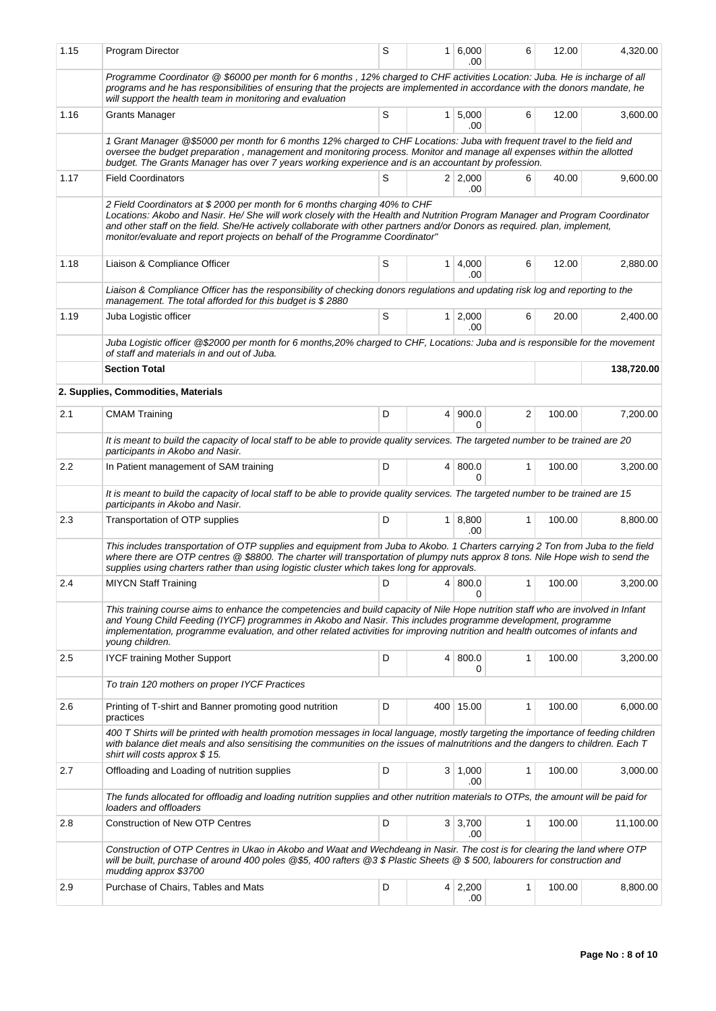| 1.15 | Program Director                                                                                                                                                                                                                                                                                                                                                                                                      | S |  | 1 6,000<br>.00        | 6              | 12.00  | 4,320.00   |  |  |  |  |
|------|-----------------------------------------------------------------------------------------------------------------------------------------------------------------------------------------------------------------------------------------------------------------------------------------------------------------------------------------------------------------------------------------------------------------------|---|--|-----------------------|----------------|--------|------------|--|--|--|--|
|      | Programme Coordinator @ \$6000 per month for 6 months, 12% charged to CHF activities Location: Juba. He is incharge of all<br>programs and he has responsibilities of ensuring that the projects are implemented in accordance with the donors mandate, he<br>will support the health team in monitoring and evaluation                                                                                               |   |  |                       |                |        |            |  |  |  |  |
| 1.16 | <b>Grants Manager</b>                                                                                                                                                                                                                                                                                                                                                                                                 | S |  | 1 5,000<br>.00        | 6              | 12.00  | 3,600.00   |  |  |  |  |
|      | 1 Grant Manager @\$5000 per month for 6 months 12% charged to CHF Locations: Juba with frequent travel to the field and<br>oversee the budget preparation, management and monitoring process. Monitor and manage all expenses within the allotted<br>budget. The Grants Manager has over 7 years working experience and is an accountant by profession.                                                               |   |  |                       |                |        |            |  |  |  |  |
| 1.17 | <b>Field Coordinators</b>                                                                                                                                                                                                                                                                                                                                                                                             | S |  | $2 \mid 2.000$<br>.00 | 6              | 40.00  | 9,600.00   |  |  |  |  |
|      | 2 Field Coordinators at \$2000 per month for 6 months charging 40% to CHF<br>Locations: Akobo and Nasir. He/ She will work closely with the Health and Nutrition Program Manager and Program Coordinator<br>and other staff on the field. She/He actively collaborate with other partners and/or Donors as required. plan, implement,<br>monitor/evaluate and report projects on behalf of the Programme Coordinator" |   |  |                       |                |        |            |  |  |  |  |
| 1.18 | Liaison & Compliance Officer                                                                                                                                                                                                                                                                                                                                                                                          | S |  | $1 \, 4,000$<br>.00   | 6              | 12.00  | 2,880.00   |  |  |  |  |
|      | Liaison & Compliance Officer has the responsibility of checking donors regulations and updating risk log and reporting to the<br>management. The total afforded for this budget is \$2880                                                                                                                                                                                                                             |   |  |                       |                |        |            |  |  |  |  |
| 1.19 | Juba Logistic officer                                                                                                                                                                                                                                                                                                                                                                                                 | S |  | $1 \mid 2,000$<br>.00 | 6              | 20.00  | 2,400.00   |  |  |  |  |
|      | Juba Logistic officer @\$2000 per month for 6 months,20% charged to CHF, Locations: Juba and is responsible for the movement<br>of staff and materials in and out of Juba.                                                                                                                                                                                                                                            |   |  |                       |                |        |            |  |  |  |  |
|      | <b>Section Total</b>                                                                                                                                                                                                                                                                                                                                                                                                  |   |  |                       |                |        | 138,720.00 |  |  |  |  |
|      | 2. Supplies, Commodities, Materials                                                                                                                                                                                                                                                                                                                                                                                   |   |  |                       |                |        |            |  |  |  |  |
| 2.1  | <b>CMAM Training</b>                                                                                                                                                                                                                                                                                                                                                                                                  | D |  | 4   900.0<br>$\Omega$ | $\overline{2}$ | 100.00 | 7,200.00   |  |  |  |  |
|      | It is meant to build the capacity of local staff to be able to provide quality services. The targeted number to be trained are 20<br>participants in Akobo and Nasir.                                                                                                                                                                                                                                                 |   |  |                       |                |        |            |  |  |  |  |
| 2.2  | In Patient management of SAM training                                                                                                                                                                                                                                                                                                                                                                                 | D |  | 4   800.0<br>0        | 1              | 100.00 | 3,200.00   |  |  |  |  |
|      | It is meant to build the capacity of local staff to be able to provide quality services. The targeted number to be trained are 15<br>participants in Akobo and Nasir.                                                                                                                                                                                                                                                 |   |  |                       |                |        |            |  |  |  |  |
| 2.3  | Transportation of OTP supplies                                                                                                                                                                                                                                                                                                                                                                                        | D |  | $1 \, 8,800$<br>.00   | 1              | 100.00 | 8,800.00   |  |  |  |  |
|      | This includes transportation of OTP supplies and equipment from Juba to Akobo. 1 Charters carrying 2 Ton from Juba to the field<br>where there are OTP centres @ \$8800. The charter will transportation of plumpy nuts approx 8 tons. Nile Hope wish to send the<br>supplies using charters rather than using logistic cluster which takes long for approvals.                                                       |   |  |                       |                |        |            |  |  |  |  |
| 2.4  | <b>MIYCN Staff Training</b>                                                                                                                                                                                                                                                                                                                                                                                           | D |  | 4 800.0 <br>0         | 1              | 100.00 | 3,200.00   |  |  |  |  |
|      | This training course aims to enhance the competencies and build capacity of Nile Hope nutrition staff who are involved in Infant<br>and Young Child Feeding (IYCF) programmes in Akobo and Nasir. This includes programme development, programme<br>implementation, programme evaluation, and other related activities for improving nutrition and health outcomes of infants and<br>young children.                  |   |  |                       |                |        |            |  |  |  |  |
| 2.5  | <b>IYCF training Mother Support</b>                                                                                                                                                                                                                                                                                                                                                                                   | D |  | 4   800.0<br>0        | 1              | 100.00 | 3,200.00   |  |  |  |  |
|      | To train 120 mothers on proper IYCF Practices                                                                                                                                                                                                                                                                                                                                                                         |   |  |                       |                |        |            |  |  |  |  |
| 2.6  | Printing of T-shirt and Banner promoting good nutrition<br>practices                                                                                                                                                                                                                                                                                                                                                  | D |  | 400 15.00             | 1              | 100.00 | 6,000.00   |  |  |  |  |
|      | 400 T Shirts will be printed with health promotion messages in local language, mostly targeting the importance of feeding children<br>with balance diet meals and also sensitising the communities on the issues of malnutritions and the dangers to children. Each T<br>shirt will costs approx $$15$ .                                                                                                              |   |  |                       |                |        |            |  |  |  |  |
| 2.7  | Offloading and Loading of nutrition supplies                                                                                                                                                                                                                                                                                                                                                                          | D |  | 3   1,000<br>.00      | 1              | 100.00 | 3,000.00   |  |  |  |  |
|      | The funds allocated for offloadig and loading nutrition supplies and other nutrition materials to OTPs, the amount will be paid for<br>loaders and offloaders                                                                                                                                                                                                                                                         |   |  |                       |                |        |            |  |  |  |  |
| 2.8  | <b>Construction of New OTP Centres</b>                                                                                                                                                                                                                                                                                                                                                                                | D |  | $3 \mid 3,700$<br>.00 | 1              | 100.00 | 11,100.00  |  |  |  |  |
|      | Construction of OTP Centres in Ukao in Akobo and Waat and Wechdeang in Nasir. The cost is for clearing the land where OTP<br>will be built, purchase of around 400 poles @\$5, 400 rafters @3 \$ Plastic Sheets @ \$ 500, labourers for construction and<br>mudding approx \$3700                                                                                                                                     |   |  |                       |                |        |            |  |  |  |  |
| 2.9  | Purchase of Chairs, Tables and Mats                                                                                                                                                                                                                                                                                                                                                                                   | D |  | $4 \mid 2,200$<br>.00 | 1              | 100.00 | 8,800.00   |  |  |  |  |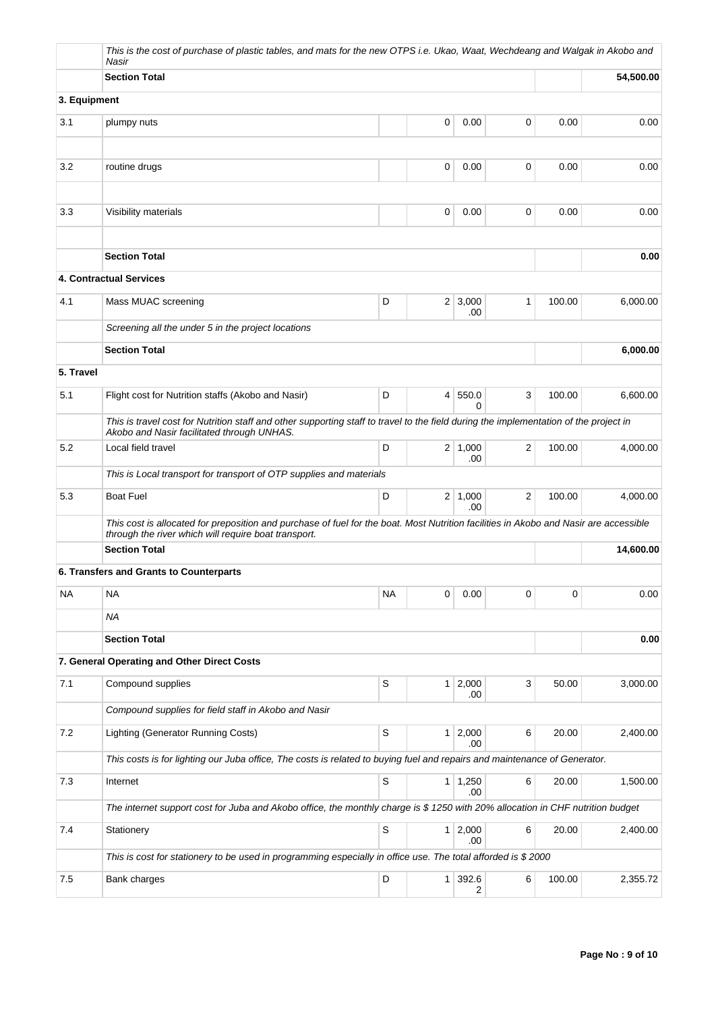|              | This is the cost of purchase of plastic tables, and mats for the new OTPS i.e. Ukao, Waat, Wechdeang and Walgak in Akobo and<br>Nasir                                                         |             |                |                       |                |        |           |  |  |
|--------------|-----------------------------------------------------------------------------------------------------------------------------------------------------------------------------------------------|-------------|----------------|-----------------------|----------------|--------|-----------|--|--|
|              | <b>Section Total</b>                                                                                                                                                                          |             |                |                       |                |        | 54,500.00 |  |  |
| 3. Equipment |                                                                                                                                                                                               |             |                |                       |                |        |           |  |  |
| 3.1          | plumpy nuts                                                                                                                                                                                   |             | 0              | 0.00                  | 0              | 0.00   | 0.00      |  |  |
|              |                                                                                                                                                                                               |             |                |                       |                |        |           |  |  |
| 3.2          | routine drugs                                                                                                                                                                                 |             | 0              | 0.00                  | 0              | 0.00   | 0.00      |  |  |
| 3.3          | Visibility materials                                                                                                                                                                          |             | 0              | 0.00                  | 0              | 0.00   | 0.00      |  |  |
|              |                                                                                                                                                                                               |             |                |                       |                |        |           |  |  |
|              | <b>Section Total</b>                                                                                                                                                                          |             |                |                       |                |        | 0.00      |  |  |
|              | 4. Contractual Services                                                                                                                                                                       |             |                |                       |                |        |           |  |  |
| 4.1          | Mass MUAC screening                                                                                                                                                                           | D           |                | $2 \mid 3,000$<br>.00 | 1              | 100.00 | 6,000.00  |  |  |
|              | Screening all the under 5 in the project locations                                                                                                                                            |             |                |                       |                |        |           |  |  |
|              | <b>Section Total</b>                                                                                                                                                                          |             |                |                       |                |        | 6,000.00  |  |  |
| 5. Travel    |                                                                                                                                                                                               |             |                |                       |                |        |           |  |  |
| 5.1          | Flight cost for Nutrition staffs (Akobo and Nasir)                                                                                                                                            | D           | $\overline{4}$ | 550.0<br>$\Omega$     | 3              | 100.00 | 6,600.00  |  |  |
|              | This is travel cost for Nutrition staff and other supporting staff to travel to the field during the implementation of the project in<br>Akobo and Nasir facilitated through UNHAS.           |             |                |                       |                |        |           |  |  |
| 5.2          | Local field travel                                                                                                                                                                            | D           |                | $2 \mid 1,000$<br>.00 | 2              | 100.00 | 4,000.00  |  |  |
|              | This is Local transport for transport of OTP supplies and materials                                                                                                                           |             |                |                       |                |        |           |  |  |
| 5.3          | <b>Boat Fuel</b>                                                                                                                                                                              | D           |                | $2 \mid 1,000$<br>.00 | $\overline{2}$ | 100.00 | 4,000.00  |  |  |
|              | This cost is allocated for preposition and purchase of fuel for the boat. Most Nutrition facilities in Akobo and Nasir are accessible<br>through the river which will require boat transport. |             |                |                       |                |        |           |  |  |
|              | <b>Section Total</b>                                                                                                                                                                          |             |                |                       |                |        | 14,600.00 |  |  |
|              | 6. Transfers and Grants to Counterparts                                                                                                                                                       |             |                |                       |                |        |           |  |  |
| <b>NA</b>    | NA                                                                                                                                                                                            | <b>NA</b>   | $\mathbf 0$    | 0.00                  | 0              | 0      | 0.00      |  |  |
|              | <b>NA</b>                                                                                                                                                                                     |             |                |                       |                |        |           |  |  |
|              | <b>Section Total</b>                                                                                                                                                                          |             |                |                       |                |        | 0.00      |  |  |
|              | 7. General Operating and Other Direct Costs                                                                                                                                                   |             |                |                       |                |        |           |  |  |
| 7.1          | Compound supplies                                                                                                                                                                             | S           | 1              | 2,000<br>.00.         | 3              | 50.00  | 3,000.00  |  |  |
|              | Compound supplies for field staff in Akobo and Nasir                                                                                                                                          |             |                |                       |                |        |           |  |  |
| 7.2          | Lighting (Generator Running Costs)                                                                                                                                                            | S           | 1 <sup>3</sup> | 2,000<br>.00          | 6              | 20.00  | 2,400.00  |  |  |
|              | This costs is for lighting our Juba office, The costs is related to buying fuel and repairs and maintenance of Generator.                                                                     |             |                |                       |                |        |           |  |  |
| 7.3          | Internet                                                                                                                                                                                      | S           |                | $1 \mid 1,250$<br>.00 | 6              | 20.00  | 1,500.00  |  |  |
|              | The internet support cost for Juba and Akobo office, the monthly charge is \$ 1250 with 20% allocation in CHF nutrition budget                                                                |             |                |                       |                |        |           |  |  |
| 7.4          | Stationery                                                                                                                                                                                    | $\mathbb S$ | $\mathbf{1}$   | 2,000<br>.00          | 6              | 20.00  | 2,400.00  |  |  |
|              | This is cost for stationery to be used in programming especially in office use. The total afforded is \$2000                                                                                  |             |                |                       |                |        |           |  |  |
| 7.5          | Bank charges                                                                                                                                                                                  | D           | $\mathbf{1}$   | 392.6<br>2            | 6              | 100.00 | 2,355.72  |  |  |